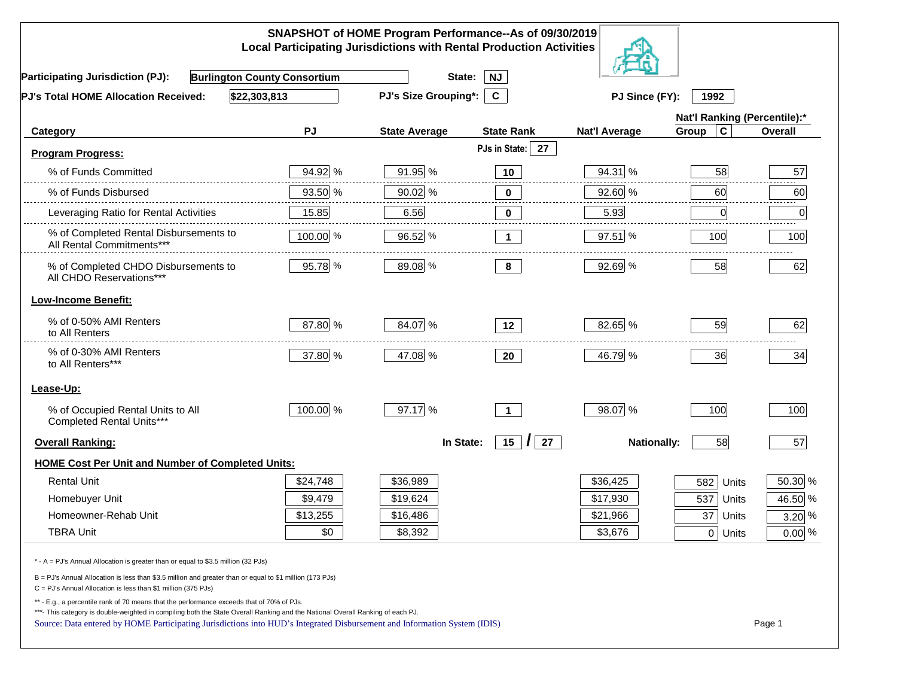| SNAPSHOT of HOME Program Performance--As of 09/30/2019<br><b>Local Participating Jurisdictions with Rental Production Activities</b>                                                                                                                                                                                                                     |          |                             |                                     |                      |                              |                 |  |
|----------------------------------------------------------------------------------------------------------------------------------------------------------------------------------------------------------------------------------------------------------------------------------------------------------------------------------------------------------|----------|-----------------------------|-------------------------------------|----------------------|------------------------------|-----------------|--|
| <b>Burlington County Consortium</b><br><b>Participating Jurisdiction (PJ):</b>                                                                                                                                                                                                                                                                           |          | State:                      | <b>NJ</b>                           |                      |                              |                 |  |
| \$22,303,813<br>PJ's Total HOME Allocation Received:                                                                                                                                                                                                                                                                                                     |          | <b>PJ's Size Grouping*:</b> | $\mathbf{C}$                        | PJ Since (FY):       | 1992                         |                 |  |
|                                                                                                                                                                                                                                                                                                                                                          |          |                             |                                     |                      | Nat'l Ranking (Percentile):* |                 |  |
| Category                                                                                                                                                                                                                                                                                                                                                 | PJ       | <b>State Average</b>        | <b>State Rank</b>                   | <b>Nat'l Average</b> | $\mathbf c$<br>Group         | Overall         |  |
| <b>Program Progress:</b>                                                                                                                                                                                                                                                                                                                                 |          |                             | PJs in State:<br>27                 |                      |                              |                 |  |
| % of Funds Committed                                                                                                                                                                                                                                                                                                                                     | 94.92 %  | 91.95 %                     | 10                                  | 94.31 %              | 58                           | 57              |  |
| % of Funds Disbursed                                                                                                                                                                                                                                                                                                                                     | 93.50 %  | 90.02 %                     | 0                                   | 92.60 %              | 60                           | 60              |  |
| Leveraging Ratio for Rental Activities                                                                                                                                                                                                                                                                                                                   | 15.85    | 6.56                        | $\bf{0}$                            | 5.93                 | $\overline{0}$               | 2.2.2.2.2.<br>0 |  |
| % of Completed Rental Disbursements to<br>All Rental Commitments***                                                                                                                                                                                                                                                                                      | 100.00 % | 96.52 %                     | $\mathbf{1}$                        | 97.51 %              | 100                          | 100             |  |
| % of Completed CHDO Disbursements to<br>All CHDO Reservations***                                                                                                                                                                                                                                                                                         | 95.78 %  | 89.08 %                     | 8                                   | 92.69 %              | 58                           | 62              |  |
| <b>Low-Income Benefit:</b>                                                                                                                                                                                                                                                                                                                               |          |                             |                                     |                      |                              |                 |  |
| % of 0-50% AMI Renters<br>to All Renters                                                                                                                                                                                                                                                                                                                 | 87.80 %  | 84.07 %                     | 12                                  | 82.65 %              | 59                           | 62              |  |
| % of 0-30% AMI Renters<br>to All Renters***                                                                                                                                                                                                                                                                                                              | 37.80 %  | 47.08 %                     | 20                                  | 46.79 %              | 36                           | 34              |  |
| Lease-Up:                                                                                                                                                                                                                                                                                                                                                |          |                             |                                     |                      |                              |                 |  |
| % of Occupied Rental Units to All<br>Completed Rental Units***                                                                                                                                                                                                                                                                                           | 100.00 % | 97.17 %                     | $\blacktriangleleft$                | 98.07 %              | 100                          | 100             |  |
| <b>Overall Ranking:</b>                                                                                                                                                                                                                                                                                                                                  |          | In State:                   | $15 \mid \textbf{\textit{I}}$<br>27 | <b>Nationally:</b>   | 58                           | 57              |  |
| <b>HOME Cost Per Unit and Number of Completed Units:</b>                                                                                                                                                                                                                                                                                                 |          |                             |                                     |                      |                              |                 |  |
| <b>Rental Unit</b>                                                                                                                                                                                                                                                                                                                                       | \$24,748 | \$36,989                    |                                     | \$36,425             | 582<br>Units                 | 50.30 %         |  |
| Homebuyer Unit                                                                                                                                                                                                                                                                                                                                           | \$9,479  | \$19,624                    |                                     | \$17,930             | 537<br><b>Units</b>          | 46.50 %         |  |
| Homeowner-Rehab Unit                                                                                                                                                                                                                                                                                                                                     | \$13,255 | \$16,486                    |                                     | \$21,966             | 37<br>Units                  | $3.20\%$        |  |
| <b>TBRA Unit</b>                                                                                                                                                                                                                                                                                                                                         | \$0      | \$8,392                     |                                     | \$3,676              | 0 Units                      | $0.00\%$        |  |
| * - A = PJ's Annual Allocation is greater than or equal to \$3.5 million (32 PJs)                                                                                                                                                                                                                                                                        |          |                             |                                     |                      |                              |                 |  |
| B = PJ's Annual Allocation is less than \$3.5 million and greater than or equal to \$1 million (173 PJs)<br>C = PJ's Annual Allocation is less than \$1 million (375 PJs)                                                                                                                                                                                |          |                             |                                     |                      |                              |                 |  |
| ** - E.g., a percentile rank of 70 means that the performance exceeds that of 70% of PJs.<br>***- This category is double-weighted in compiling both the State Overall Ranking and the National Overall Ranking of each PJ.<br>Source: Data entered by HOME Participating Jurisdictions into HUD's Integrated Disbursement and Information System (IDIS) |          |                             |                                     |                      |                              | Page 1          |  |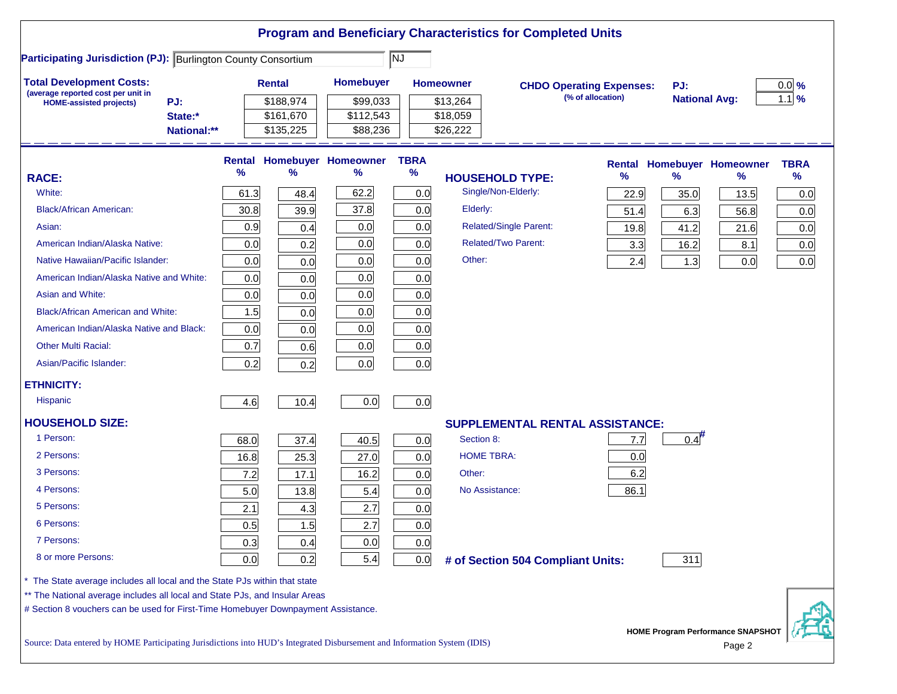|                                                                                                                           |             |               |           |                            |             |                   | <b>Program and Beneficiary Characteristics for Completed Units</b> |      |                                             |                                   |             |
|---------------------------------------------------------------------------------------------------------------------------|-------------|---------------|-----------|----------------------------|-------------|-------------------|--------------------------------------------------------------------|------|---------------------------------------------|-----------------------------------|-------------|
| <b>Participating Jurisdiction (PJ): Burlington County Consortium</b>                                                      |             |               |           |                            | NJ          |                   |                                                                    |      |                                             |                                   |             |
| <b>Total Development Costs:</b>                                                                                           |             | <b>Rental</b> |           | <b>Homebuyer</b>           |             | <b>Homeowner</b>  | <b>CHDO Operating Expenses:</b>                                    |      | PJ:                                         |                                   | $0.0\%$     |
| (average reported cost per unit in<br>PJ:<br><b>HOME-assisted projects)</b>                                               |             |               | \$188,974 | \$99,033                   |             | \$13,264          | (% of allocation)                                                  |      | <b>National Avg:</b>                        |                                   | $1.1$ %     |
|                                                                                                                           | State:*     |               | \$161,670 | \$112,543                  |             | \$18,059          |                                                                    |      |                                             |                                   |             |
|                                                                                                                           | National:** |               | \$135,225 | \$88,236                   |             | \$26,222          |                                                                    |      |                                             |                                   |             |
|                                                                                                                           |             | Rental        |           | <b>Homebuyer Homeowner</b> | <b>TBRA</b> |                   |                                                                    |      |                                             | <b>Rental Homebuyer Homeowner</b> | <b>TBRA</b> |
| <b>RACE:</b>                                                                                                              |             | %             | ℅         | ℅                          | $\%$        |                   | <b>HOUSEHOLD TYPE:</b>                                             | %    | $\frac{9}{6}$                               | %                                 | $\%$        |
| White:                                                                                                                    |             | 61.3          | 48.4      | 62.2                       | 0.0         |                   | Single/Non-Elderly:                                                | 22.9 | 35.0                                        | 13.5                              | 0.0         |
| <b>Black/African American:</b>                                                                                            |             | 30.8          | 39.9      | 37.8                       | 0.0         | Elderly:          |                                                                    | 51.4 | 6.3                                         | 56.8                              | 0.0         |
| Asian:                                                                                                                    |             | 0.9           | 0.4       | 0.0                        | 0.0         |                   | <b>Related/Single Parent:</b>                                      | 19.8 | 41.2                                        | 21.6                              | 0.0         |
| American Indian/Alaska Native:                                                                                            |             | 0.0           | 0.2       | 0.0                        | 0.0         |                   | <b>Related/Two Parent:</b>                                         | 3.3  | 16.2                                        | 8.1                               | 0.0         |
| Native Hawaiian/Pacific Islander:                                                                                         |             | 0.0           | 0.0       | 0.0                        | 0.0         | Other:            |                                                                    | 2.4  | 1.3                                         | 0.0                               | 0.0         |
| American Indian/Alaska Native and White:                                                                                  |             | 0.0           | 0.0       | 0.0                        | 0.0         |                   |                                                                    |      |                                             |                                   |             |
| Asian and White:                                                                                                          |             | 0.0           | 0.0       | 0.0                        | 0.0         |                   |                                                                    |      |                                             |                                   |             |
| <b>Black/African American and White:</b>                                                                                  |             | 1.5           | 0.0       | 0.0                        | 0.0         |                   |                                                                    |      |                                             |                                   |             |
| American Indian/Alaska Native and Black:                                                                                  |             | 0.0           | 0.0       | 0.0                        | 0.0         |                   |                                                                    |      |                                             |                                   |             |
| <b>Other Multi Racial:</b>                                                                                                |             | 0.7           | 0.6       | 0.0                        | 0.0         |                   |                                                                    |      |                                             |                                   |             |
| Asian/Pacific Islander:                                                                                                   |             | 0.2           | 0.2       | 0.0                        | 0.0         |                   |                                                                    |      |                                             |                                   |             |
| <b>ETHNICITY:</b>                                                                                                         |             |               |           |                            |             |                   |                                                                    |      |                                             |                                   |             |
| <b>Hispanic</b>                                                                                                           |             | 4.6           | 10.4      | 0.0                        | 0.0         |                   |                                                                    |      |                                             |                                   |             |
| <b>HOUSEHOLD SIZE:</b>                                                                                                    |             |               |           |                            |             |                   | <b>SUPPLEMENTAL RENTAL ASSISTANCE:</b>                             |      |                                             |                                   |             |
| 1 Person:                                                                                                                 |             | 68.0          | 37.4      | 40.5                       | 0.0         | Section 8:        |                                                                    | 7.7  | 0.4                                         |                                   |             |
| 2 Persons:                                                                                                                |             | 16.8          | 25.3      | 27.0                       | 0.0         | <b>HOME TBRA:</b> |                                                                    | 0.0  |                                             |                                   |             |
| 3 Persons:                                                                                                                |             | 7.2           | 17.1      | 16.2                       | 0.0         | Other:            |                                                                    | 6.2  |                                             |                                   |             |
| 4 Persons:                                                                                                                |             | 5.0           | 13.8      | 5.4                        | 0.0         | No Assistance:    |                                                                    | 86.1 |                                             |                                   |             |
| 5 Persons:                                                                                                                |             | 2.1           | 4.3       | 2.7                        | 0.0         |                   |                                                                    |      |                                             |                                   |             |
| 6 Persons:                                                                                                                |             | 0.5           | $1.5$     | 2.7                        | 0.0         |                   |                                                                    |      |                                             |                                   |             |
| 7 Persons:                                                                                                                |             | 0.3           | 0.4       | 0.0                        | 0.0         |                   |                                                                    |      |                                             |                                   |             |
| 8 or more Persons:                                                                                                        |             | 0.0           | 0.2       | 5.4                        | 0.0         |                   | # of Section 504 Compliant Units:                                  |      | 311                                         |                                   |             |
| The State average includes all local and the State PJs within that state                                                  |             |               |           |                            |             |                   |                                                                    |      |                                             |                                   |             |
| ** The National average includes all local and State PJs, and Insular Areas                                               |             |               |           |                            |             |                   |                                                                    |      |                                             |                                   |             |
| # Section 8 vouchers can be used for First-Time Homebuyer Downpayment Assistance.                                         |             |               |           |                            |             |                   |                                                                    |      |                                             |                                   |             |
| Source: Data entered by HOME Participating Jurisdictions into HUD's Integrated Disbursement and Information System (IDIS) |             |               |           |                            |             |                   |                                                                    |      | HOME Program Performance SNAPSHOT<br>Page 2 |                                   |             |